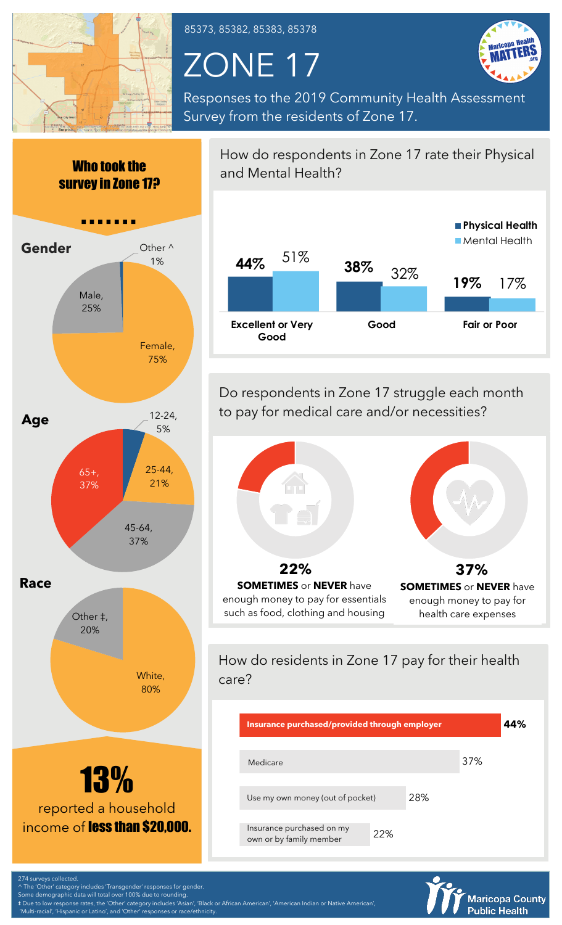

85373, 85382, 85383, 85378

## ZONE 17



Responses to the 2019 Community Health Assessment Survey from the residents of Zone 17.



How do respondents in Zone 17 rate their Physical and Mental Health? **44% 38% 19%** 32% 17% 51% **Excellent or Very Good Good Fair or Poor Physical Health** Mental Health

Do respondents in Zone 17 struggle each month to pay for medical care and/or necessities?



such as food, clothing and housing



How do residents in Zone 17 pay for their health care?

| Insurance purchased/provided through employer        |     |  |     |  |
|------------------------------------------------------|-----|--|-----|--|
| Medicare                                             |     |  | 37% |  |
| 28%<br>Use my own money (out of pocket)              |     |  |     |  |
| Insurance purchased on my<br>own or by family member | 22% |  |     |  |

**Maricopa County Public Health** 

^ The 'Other' category includes 'Transgender' responses for gender.

Some demographic data will total over 100% due to rounding. ‡ Due to low response rates, the 'Other' category includes 'Asian', 'Black or African American', 'American Indian or Native American', and 'Other' responses or race/ethnicit